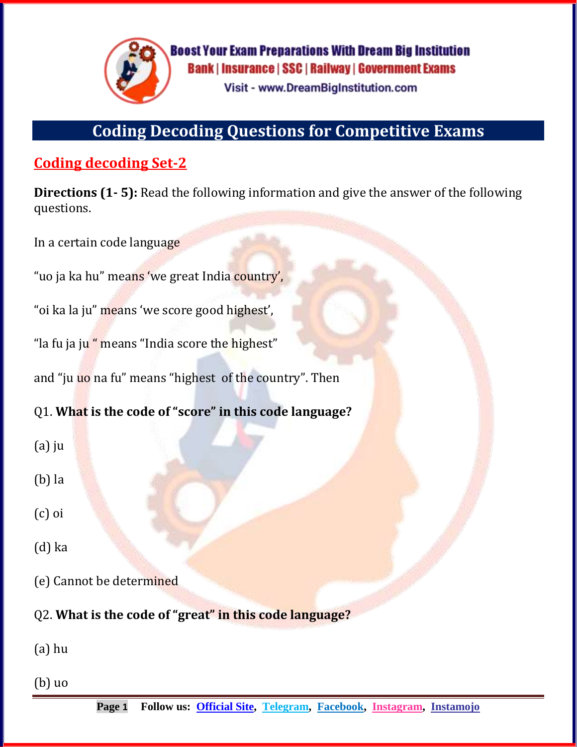

**Boost Your Exam Preparations With Dream Big Institution Bank | Insurance | SSC | Railway | Government Exams Visit - www.DreamBigInstitution.com** 

# **Coding Decoding Questions for Competitive Exams**

# **Coding decoding Set-2**

**Directions (1- 5):** Read the following information and give the answer of the following questions.

In a certain code language

"uo ja ka hu" means 'we great India country',

"oi ka la ju" means 'we score good highest',

"la fu ja ju " means "India score the highest"

and "ju uo na fu" means "highest of the country". Then

Q1. **What is the code of "score" in this code language?**

- (a) ju
- (b) la
- (c) oi
- (d) ka
- (e) Cannot be determined
- Q2. **What is the code of "great" in this code language?**

(a) hu

(b) uo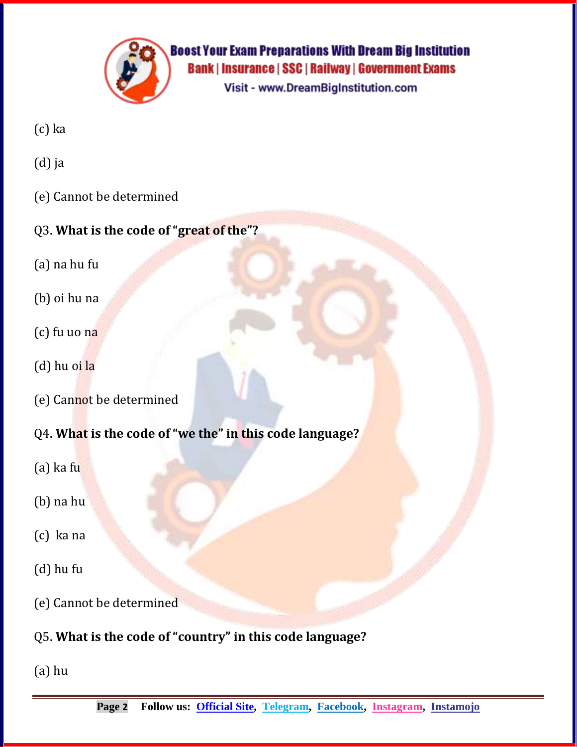

**Boost Your Exam Preparations With Dream Big Institution Bank | Insurance | SSC | Railway | Government Exams** Visit - www.DreamBigInstitution.com

- (c) ka
- (d) ja
- (e) Cannot be determined

### Q3. **What is the code of "great of the"?**

- (a) na hu fu
- (b) oi hu na
- (c) fu uo na
- (d) hu oi la
- (e) Cannot be determined
- Q4. **What is the code of "we the" in this code language?**
- (a) ka fu
- (b) na hu
- (c) ka na
- (d) hu fu
- (e) Cannot be determined
- Q5. **What is the code of "country" in this code language?**
- (a) hu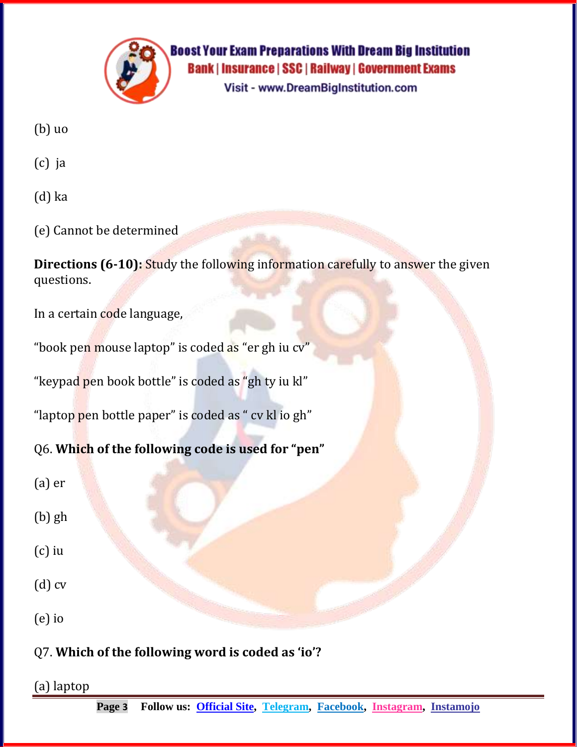

Visit - www.DreamBigInstitution.com

- (b) uo
- (c) ja
- (d) ka
- (e) Cannot be determined

**Directions (6-10): Study the following information carefully to answer the given** questions.

In a certain code language,

"book pen mouse laptop" is coded as "er gh iu cv"

"keypad pen book bottle" is coded as "gh ty iu kl"

"laptop pen bottle paper" is coded as " cv kl io gh"

Q6. **Which of the following code is used for "pen"**

- (a) er
- (b) gh
- (c) iu
- (d) cv
- (e) io

Q7. **Which of the following word is coded as 'io'?**

(a) laptop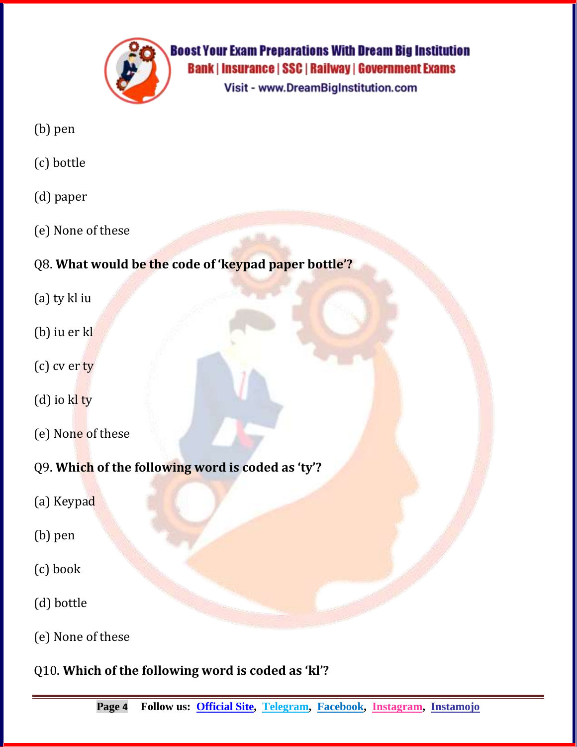

Visit - www.DreamBigInstitution.com

- (b) pen
- (c) bottle
- (d) paper
- (e) None of these

# Q8. **What would be the code of 'keypad paper bottle'?**

- (a) ty kl iu
- (b) iu er kl
- (c) cv er ty
- (d) io kl ty
- (e) None of these
- Q9. **Which of the following word is coded as 'ty'?**
- (a) Keypad
- (b) pen
- (c) book
- (d) bottle
- (e) None of these
- Q10. **Which of the following word is coded as 'kl'?**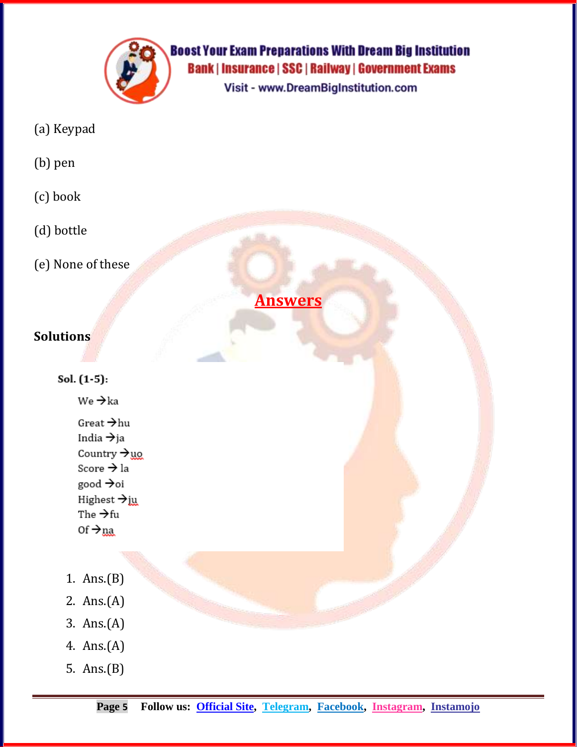

Visit - www.DreamBigInstitution.com

- (a) Keypad
- (b) pen
- (c) book
- (d) bottle
- (e) None of these

**Answers**

#### **Solutions**

Sol. (1-5):

 $We \rightarrow ka$ 

- Great  $\rightarrow$  hu India  $\rightarrow$ ja Country  $\rightarrow$ uo Score → la good →oi Highest  $\rightarrow$  ju The  $\rightarrow$ fu  $0f \rightarrow na$
- 1. Ans.(B)
- 2. Ans.(A)
- 3. Ans.(A)
- 4. Ans.(A)
- 5. Ans.(B)